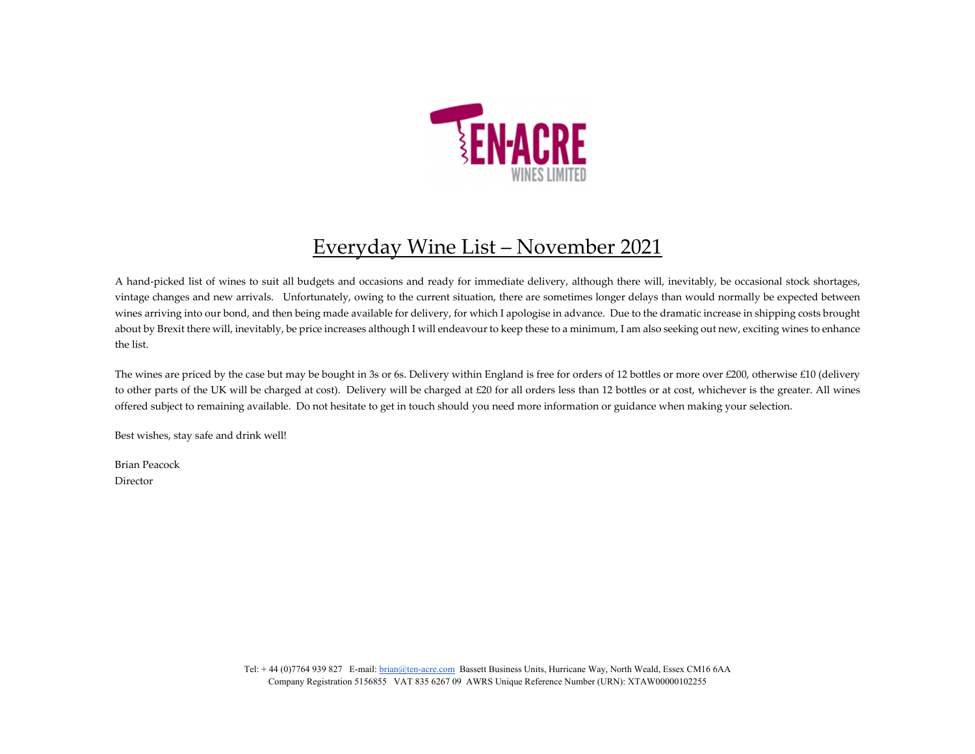

## Everyday Wine List – November 2021

A hand‐picked list of wines to suit all budgets and occasions and ready for immediate delivery, although there will, inevitably, be occasional stock shortages, vintage changes and new arrivals. Unfortunately, owing to the current situation, there are sometimes longer delays than would normally be expected between wines arriving into our bond, and then being made available for delivery, for which I apologise in advance. Due to the dramatic increase in shipping costs brought about by Brexit there will, inevitably, be price increases although I will endeavour to keep these to <sup>a</sup> minimum, I am also seeking out new, exciting wines to enhance the list.

The wines are priced by the case but may be bought in 3s or 6s. Delivery within England is free for orders of <sup>12</sup> bottles or more over £200, otherwise £10 (delivery to other parts of the UK will be charged at cost). Delivery will be charged at £20 for all orders less than <sup>12</sup> bottles or at cost, whichever is the greater. All wines offered subject to remaining available. Do not hesitate to ge<sup>t</sup> in touch should you need more information or guidance when making your selection.

Best wishes, stay safe and drink well!

Brian Peacock Director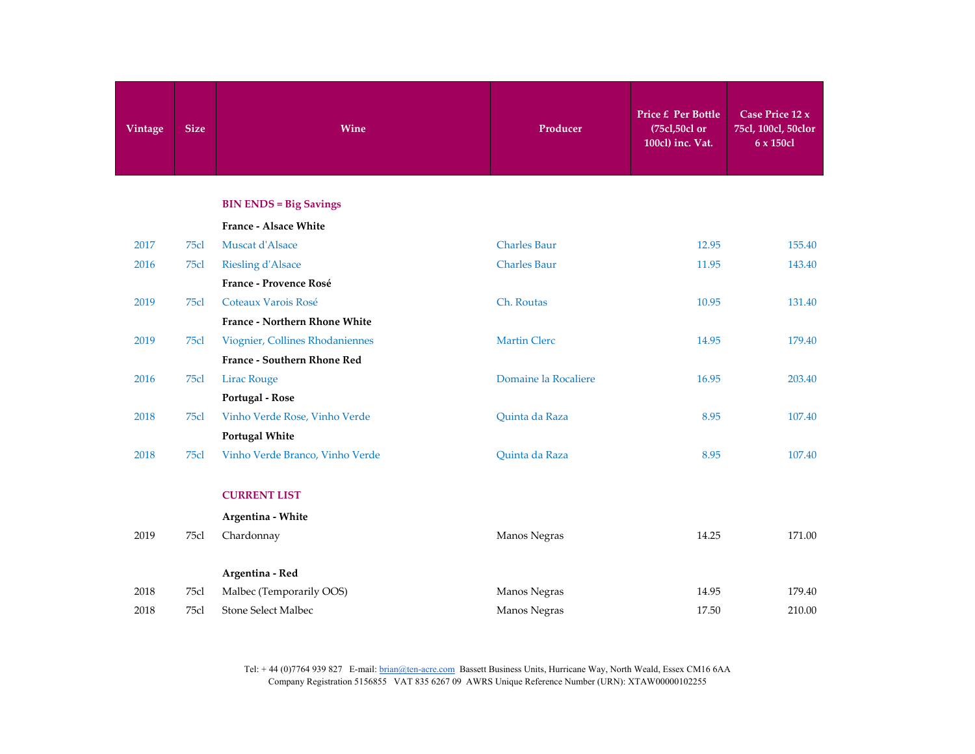| Vintage | <b>Size</b> | Wine                            | Producer             | <b>Price £ Per Bottle</b><br>(75cl,50cl or<br>100cl) inc. Vat. | Case Price 12 x<br>75cl, 100cl, 50clor<br>6 x 150cl |
|---------|-------------|---------------------------------|----------------------|----------------------------------------------------------------|-----------------------------------------------------|
|         |             | <b>BIN ENDS = Big Savings</b>   |                      |                                                                |                                                     |
|         |             | <b>France - Alsace White</b>    |                      |                                                                |                                                     |
| 2017    | 75cl        | Muscat d'Alsace                 | <b>Charles Baur</b>  | 12.95                                                          | 155.40                                              |
| 2016    | 75cl        | <b>Riesling d'Alsace</b>        | <b>Charles Baur</b>  | 11.95                                                          | 143.40                                              |
|         |             | France - Provence Rosé          |                      |                                                                |                                                     |
| 2019    | 75cl        | Coteaux Varois Rosé             | Ch. Routas           | 10.95                                                          | 131.40                                              |
|         |             | France - Northern Rhone White   |                      |                                                                |                                                     |
| 2019    | 75cl        | Viognier, Collines Rhodaniennes | <b>Martin Clerc</b>  | 14.95                                                          | 179.40                                              |
|         |             | France - Southern Rhone Red     |                      |                                                                |                                                     |
| 2016    | 75cl        | <b>Lirac Rouge</b>              | Domaine la Rocaliere | 16.95                                                          | 203.40                                              |
|         |             | Portugal - Rose                 |                      |                                                                |                                                     |
| 2018    | 75c1        | Vinho Verde Rose, Vinho Verde   | Quinta da Raza       | 8.95                                                           | 107.40                                              |
|         |             | <b>Portugal White</b>           |                      |                                                                |                                                     |
| 2018    | 75cl        | Vinho Verde Branco, Vinho Verde | Quinta da Raza       | 8.95                                                           | 107.40                                              |
|         |             | <b>CURRENT LIST</b>             |                      |                                                                |                                                     |
|         |             | Argentina - White               |                      |                                                                |                                                     |
| 2019    | 75cl        | Chardonnay                      | Manos Negras         | 14.25                                                          | 171.00                                              |
|         |             | Argentina - Red                 |                      |                                                                |                                                     |
| 2018    | 75cl        | Malbec (Temporarily OOS)        | Manos Negras         | 14.95                                                          | 179.40                                              |
| 2018    | 75cl        | Stone Select Malbec             | Manos Negras         | 17.50                                                          | 210.00                                              |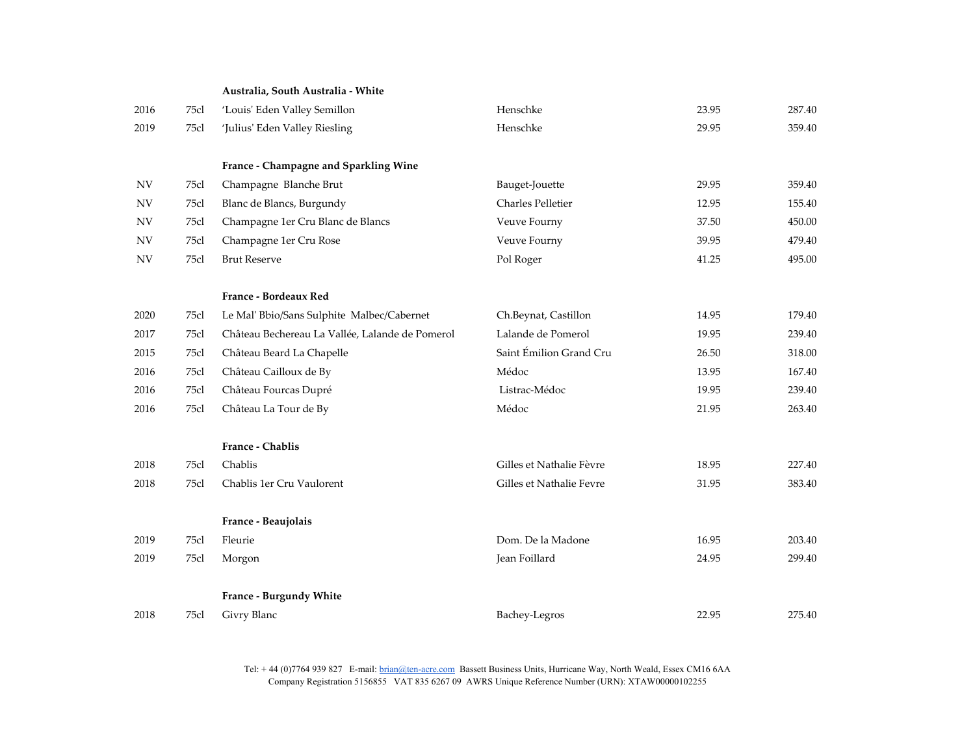## **Australia, South Australia ‐ White**

| 2016       | 75cl | 'Louis' Eden Valley Semillon                    | Henschke                 | 23.95 | 287.40 |
|------------|------|-------------------------------------------------|--------------------------|-------|--------|
| 2019       | 75cl | 'Julius' Eden Valley Riesling                   | Henschke                 | 29.95 | 359.40 |
|            |      |                                                 |                          |       |        |
|            |      | France - Champagne and Sparkling Wine           |                          |       |        |
| <b>NV</b>  | 75cl | Champagne Blanche Brut                          | Bauget-Jouette           | 29.95 | 359.40 |
| <b>NV</b>  | 75cl | Blanc de Blancs, Burgundy                       | <b>Charles Pelletier</b> | 12.95 | 155.40 |
| <b>NV</b>  | 75cl | Champagne 1er Cru Blanc de Blancs               | Veuve Fourny             | 37.50 | 450.00 |
| <b>NV</b>  | 75cl | Champagne 1er Cru Rose                          | Veuve Fourny             | 39.95 | 479.40 |
| ${\rm NV}$ | 75cl | <b>Brut Reserve</b>                             | Pol Roger                | 41.25 | 495.00 |
|            |      |                                                 |                          |       |        |
|            |      | France - Bordeaux Red                           |                          |       |        |
| 2020       | 75cl | Le Mal' Bbio/Sans Sulphite Malbec/Cabernet      | Ch.Beynat, Castillon     | 14.95 | 179.40 |
| 2017       | 75cl | Château Bechereau La Vallée, Lalande de Pomerol | Lalande de Pomerol       | 19.95 | 239.40 |
| 2015       | 75cl | Château Beard La Chapelle                       | Saint Émilion Grand Cru  | 26.50 | 318.00 |
| 2016       | 75cl | Château Cailloux de By                          | Médoc                    | 13.95 | 167.40 |
| 2016       | 75cl | Château Fourcas Dupré                           | Listrac-Médoc            | 19.95 | 239.40 |
| 2016       | 75cl | Château La Tour de By                           | Médoc                    | 21.95 | 263.40 |
|            |      |                                                 |                          |       |        |
|            |      | France - Chablis                                |                          |       |        |
| 2018       | 75cl | Chablis                                         | Gilles et Nathalie Fèvre | 18.95 | 227.40 |
| 2018       | 75cl | Chablis 1er Cru Vaulorent                       | Gilles et Nathalie Fevre | 31.95 | 383.40 |
|            |      |                                                 |                          |       |        |
|            |      | France - Beaujolais                             |                          |       |        |
| 2019       | 75cl | Fleurie                                         | Dom. De la Madone        | 16.95 | 203.40 |
| 2019       | 75cl | Morgon                                          | Jean Foillard            | 24.95 | 299.40 |
|            |      | France - Burgundy White                         |                          |       |        |
| 2018       | 75cl | Givry Blanc                                     | Bachey-Legros            | 22.95 | 275.40 |
|            |      |                                                 |                          |       |        |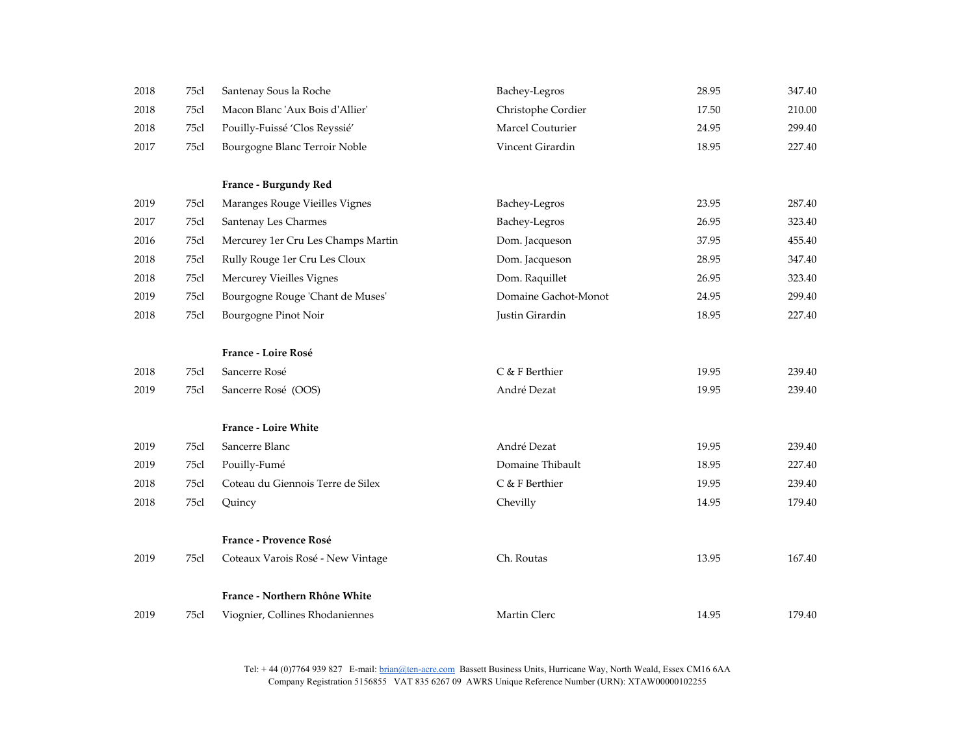| 2018 | 75cl | Santenay Sous la Roche             | Bachey-Legros        | 28.95 | 347.40 |
|------|------|------------------------------------|----------------------|-------|--------|
| 2018 | 75cl | Macon Blanc 'Aux Bois d'Allier'    | Christophe Cordier   | 17.50 | 210.00 |
| 2018 | 75cl | Pouilly-Fuissé 'Clos Reyssié'      | Marcel Couturier     | 24.95 | 299.40 |
| 2017 | 75cl | Bourgogne Blanc Terroir Noble      | Vincent Girardin     | 18.95 | 227.40 |
|      |      |                                    |                      |       |        |
|      |      | France - Burgundy Red              |                      |       |        |
| 2019 | 75cl | Maranges Rouge Vieilles Vignes     | Bachey-Legros        | 23.95 | 287.40 |
| 2017 | 75cl | Santenay Les Charmes               | Bachey-Legros        | 26.95 | 323.40 |
| 2016 | 75cl | Mercurey 1er Cru Les Champs Martin | Dom. Jacqueson       | 37.95 | 455.40 |
| 2018 | 75cl | Rully Rouge 1er Cru Les Cloux      | Dom. Jacqueson       | 28.95 | 347.40 |
| 2018 | 75cl | Mercurey Vieilles Vignes           | Dom. Raquillet       | 26.95 | 323.40 |
| 2019 | 75cl | Bourgogne Rouge 'Chant de Muses'   | Domaine Gachot-Monot | 24.95 | 299.40 |
| 2018 | 75cl | Bourgogne Pinot Noir               | Justin Girardin      | 18.95 | 227.40 |
|      |      |                                    |                      |       |        |
|      |      | France - Loire Rosé                |                      |       |        |
| 2018 | 75cl | Sancerre Rosé                      | C & F Berthier       | 19.95 | 239.40 |
| 2019 | 75cl | Sancerre Rosé (OOS)                | André Dezat          | 19.95 | 239.40 |
|      |      |                                    |                      |       |        |
|      |      | <b>France - Loire White</b>        |                      |       |        |
| 2019 | 75cl | Sancerre Blanc                     | André Dezat          | 19.95 | 239.40 |
| 2019 | 75cl | Pouilly-Fumé                       | Domaine Thibault     | 18.95 | 227.40 |
| 2018 | 75cl | Coteau du Giennois Terre de Silex  | C & F Berthier       | 19.95 | 239.40 |
| 2018 | 75cl | Quincy                             | Chevilly             | 14.95 | 179.40 |
|      |      | France - Provence Rosé             |                      |       |        |
| 2019 | 75cl | Coteaux Varois Rosé - New Vintage  | Ch. Routas           | 13.95 | 167.40 |
|      |      |                                    |                      |       |        |
|      |      | France - Northern Rhône White      |                      |       |        |
| 2019 | 75cl | Viognier, Collines Rhodaniennes    | Martin Clerc         | 14.95 | 179.40 |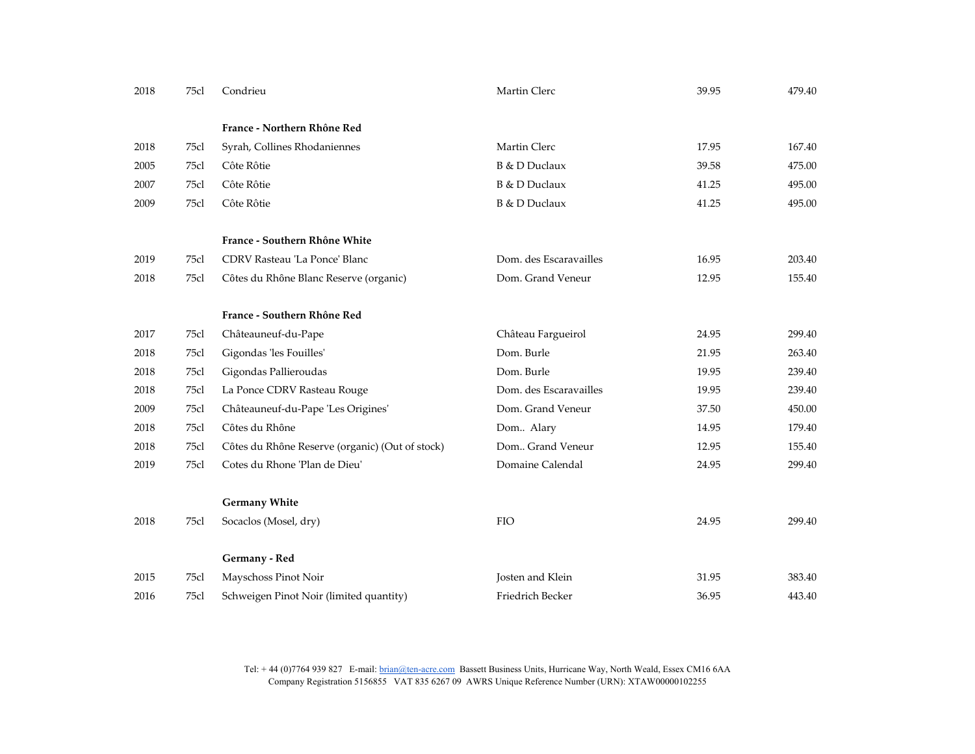| 2018 | 75cl | Condrieu                                        | Martin Clerc           | 39.95 | 479.40 |
|------|------|-------------------------------------------------|------------------------|-------|--------|
|      |      | France - Northern Rhône Red                     |                        |       |        |
| 2018 | 75cl | Syrah, Collines Rhodaniennes                    | Martin Clerc           | 17.95 | 167.40 |
| 2005 | 75cl | Côte Rôtie                                      | B & D Duclaux          | 39.58 | 475.00 |
| 2007 | 75cl | Côte Rôtie                                      | B & D Duclaux          | 41.25 | 495.00 |
| 2009 | 75cl | Côte Rôtie                                      | B & D Duclaux          | 41.25 | 495.00 |
|      |      | France - Southern Rhône White                   |                        |       |        |
| 2019 | 75cl | CDRV Rasteau 'La Ponce' Blanc                   | Dom. des Escaravailles | 16.95 | 203.40 |
| 2018 | 75cl | Côtes du Rhône Blanc Reserve (organic)          | Dom. Grand Veneur      | 12.95 | 155.40 |
|      |      | France - Southern Rhône Red                     |                        |       |        |
| 2017 | 75cl | Châteauneuf-du-Pape                             | Château Fargueirol     | 24.95 | 299.40 |
| 2018 | 75cl | Gigondas 'les Fouilles'                         | Dom. Burle             | 21.95 | 263.40 |
| 2018 | 75cl | Gigondas Pallieroudas                           | Dom. Burle             | 19.95 | 239.40 |
| 2018 | 75cl | La Ponce CDRV Rasteau Rouge                     | Dom. des Escaravailles | 19.95 | 239.40 |
| 2009 | 75cl | Châteauneuf-du-Pape 'Les Origines'              | Dom. Grand Veneur      | 37.50 | 450.00 |
| 2018 | 75cl | Côtes du Rhône                                  | Dom Alary              | 14.95 | 179.40 |
| 2018 | 75cl | Côtes du Rhône Reserve (organic) (Out of stock) | Dom Grand Veneur       | 12.95 | 155.40 |
| 2019 | 75cl | Cotes du Rhone 'Plan de Dieu'                   | Domaine Calendal       | 24.95 | 299.40 |
|      |      | <b>Germany White</b>                            |                        |       |        |
| 2018 | 75cl | Socaclos (Mosel, dry)                           | <b>FIO</b>             | 24.95 | 299.40 |
|      |      | Germany - Red                                   |                        |       |        |
| 2015 | 75cl | Mayschoss Pinot Noir                            | Josten and Klein       | 31.95 | 383.40 |
| 2016 | 75cl | Schweigen Pinot Noir (limited quantity)         | Friedrich Becker       | 36.95 | 443.40 |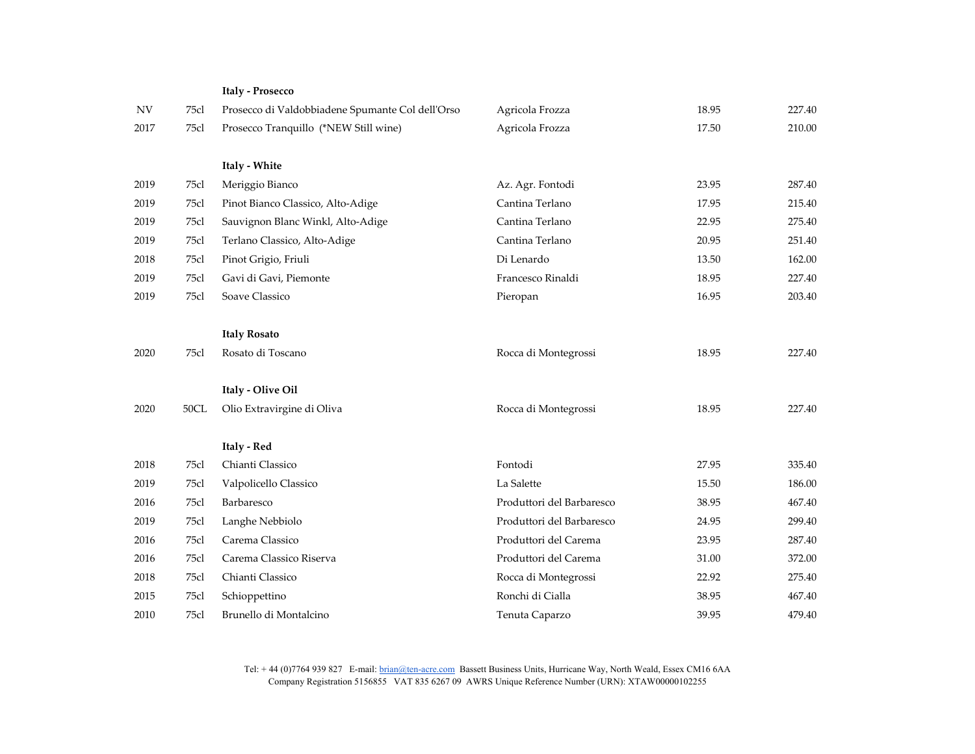|           |      | <b>Italy - Prosecco</b>                          |                           |       |        |
|-----------|------|--------------------------------------------------|---------------------------|-------|--------|
| <b>NV</b> | 75cl | Prosecco di Valdobbiadene Spumante Col dell'Orso | Agricola Frozza           | 18.95 | 227.40 |
| 2017      | 75cl | Prosecco Tranquillo (*NEW Still wine)            | Agricola Frozza           | 17.50 | 210.00 |
|           |      | Italy - White                                    |                           |       |        |
| 2019      | 75cl | Meriggio Bianco                                  | Az. Agr. Fontodi          | 23.95 | 287.40 |
| 2019      | 75cl | Pinot Bianco Classico, Alto-Adige                | Cantina Terlano           | 17.95 | 215.40 |
| 2019      | 75cl | Sauvignon Blanc Winkl, Alto-Adige                | Cantina Terlano           | 22.95 | 275.40 |
| 2019      | 75cl | Terlano Classico, Alto-Adige                     | Cantina Terlano           | 20.95 | 251.40 |
| 2018      | 75cl | Pinot Grigio, Friuli                             | Di Lenardo                | 13.50 | 162.00 |
| 2019      | 75cl | Gavi di Gavi, Piemonte                           | Francesco Rinaldi         | 18.95 | 227.40 |
| 2019      | 75cl | Soave Classico                                   | Pieropan                  | 16.95 | 203.40 |
|           |      |                                                  |                           |       |        |
|           |      | <b>Italy Rosato</b>                              |                           |       |        |
| 2020      | 75cl | Rosato di Toscano                                | Rocca di Montegrossi      | 18.95 | 227.40 |
|           |      |                                                  |                           |       |        |
|           |      | Italy - Olive Oil                                |                           |       |        |
| 2020      | 50CL | Olio Extravirgine di Oliva                       | Rocca di Montegrossi      | 18.95 | 227.40 |
|           |      | Italy - Red                                      |                           |       |        |
| 2018      | 75cl | Chianti Classico                                 | Fontodi                   | 27.95 | 335.40 |
| 2019      | 75cl | Valpolicello Classico                            | La Salette                | 15.50 | 186.00 |
| 2016      | 75cl | Barbaresco                                       | Produttori del Barbaresco | 38.95 | 467.40 |
| 2019      | 75cl | Langhe Nebbiolo                                  | Produttori del Barbaresco | 24.95 | 299.40 |
| 2016      | 75cl | Carema Classico                                  | Produttori del Carema     | 23.95 | 287.40 |
| 2016      | 75cl | Carema Classico Riserva                          | Produttori del Carema     | 31.00 | 372.00 |
| 2018      | 75cl | Chianti Classico                                 | Rocca di Montegrossi      | 22.92 | 275.40 |
| 2015      | 75cl | Schioppettino                                    | Ronchi di Cialla          | 38.95 | 467.40 |
| 2010      | 75cl | Brunello di Montalcino                           | Tenuta Caparzo            | 39.95 | 479.40 |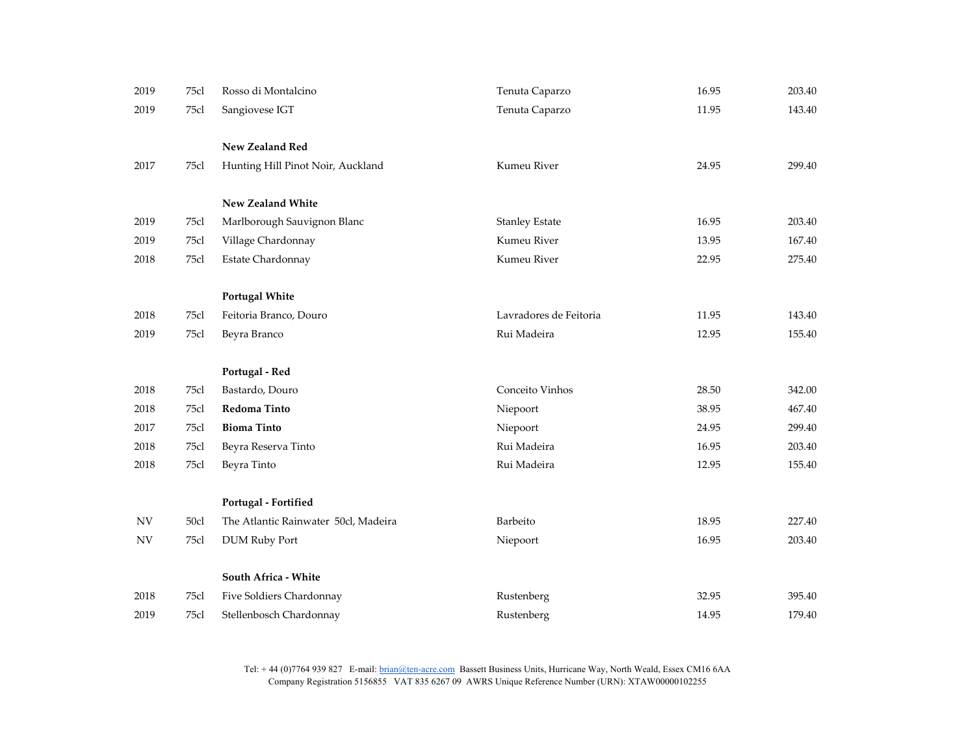| 2019                     | 75cl | Rosso di Montalcino                  | Tenuta Caparzo         | 16.95 | 203.40 |
|--------------------------|------|--------------------------------------|------------------------|-------|--------|
| 2019                     | 75cl | Sangiovese IGT                       | Tenuta Caparzo         | 11.95 | 143.40 |
|                          |      |                                      |                        |       |        |
|                          |      | New Zealand Red                      |                        |       |        |
| 2017                     | 75cl | Hunting Hill Pinot Noir, Auckland    | Kumeu River            | 24.95 | 299.40 |
|                          |      |                                      |                        |       |        |
|                          |      | New Zealand White                    |                        |       |        |
| 2019                     | 75cl | Marlborough Sauvignon Blanc          | <b>Stanley Estate</b>  | 16.95 | 203.40 |
| 2019                     | 75cl | Village Chardonnay                   | Kumeu River            | 13.95 | 167.40 |
| 2018                     | 75cl | Estate Chardonnay                    | Kumeu River            | 22.95 | 275.40 |
|                          |      |                                      |                        |       |        |
|                          |      | <b>Portugal White</b>                |                        |       |        |
| 2018                     | 75cl | Feitoria Branco, Douro               | Lavradores de Feitoria | 11.95 | 143.40 |
| 2019                     | 75cl | Beyra Branco                         | Rui Madeira            | 12.95 | 155.40 |
|                          |      |                                      |                        |       |        |
|                          |      | Portugal - Red                       |                        |       |        |
| 2018                     | 75cl | Bastardo, Douro                      | Conceito Vinhos        | 28.50 | 342.00 |
| 2018                     | 75cl | Redoma Tinto                         | Niepoort               | 38.95 | 467.40 |
| 2017                     | 75cl | <b>Bioma Tinto</b>                   | Niepoort               | 24.95 | 299.40 |
| 2018                     | 75cl | Beyra Reserva Tinto                  | Rui Madeira            | 16.95 | 203.40 |
| 2018                     | 75cl | Beyra Tinto                          | Rui Madeira            | 12.95 | 155.40 |
|                          |      |                                      |                        |       |        |
|                          |      | Portugal - Fortified                 |                        |       |        |
| $\ensuremath{\text{NV}}$ | 50cl | The Atlantic Rainwater 50cl, Madeira | Barbeito               | 18.95 | 227.40 |
| ${\rm NV}$               | 75cl | <b>DUM Ruby Port</b>                 | Niepoort               | 16.95 | 203.40 |
|                          |      |                                      |                        |       |        |
|                          |      | South Africa - White                 |                        |       |        |
| 2018                     | 75cl | Five Soldiers Chardonnay             | Rustenberg             | 32.95 | 395.40 |
| 2019                     | 75cl | Stellenbosch Chardonnay              | Rustenberg             | 14.95 | 179.40 |